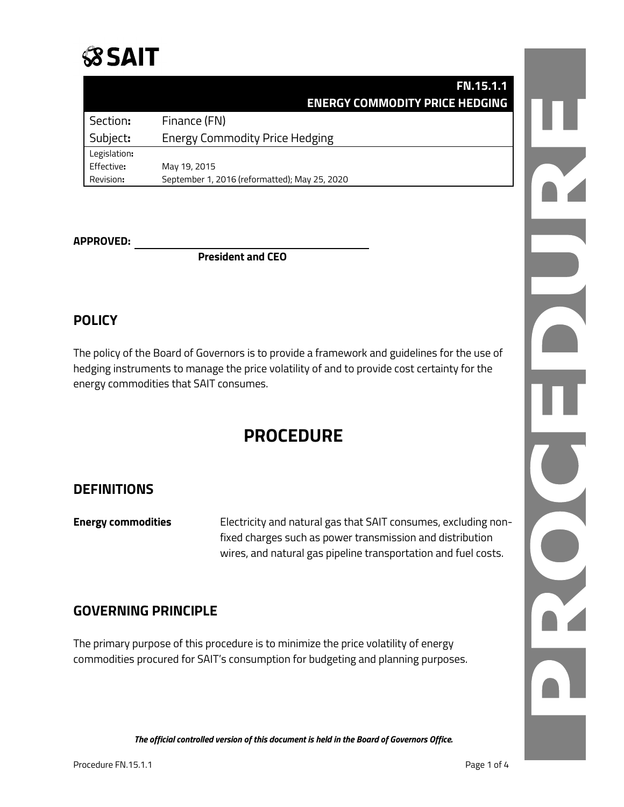

|              | <b>FN.15.1.1</b>                              |
|--------------|-----------------------------------------------|
|              | <b>ENERGY COMMODITY PRICE HEDGING</b>         |
| Section:     | Finance (FN)                                  |
| Subject:     | <b>Energy Commodity Price Hedging</b>         |
| Legislation: |                                               |
| Effective:   | May 19, 2015                                  |
| Revision:    | September 1, 2016 (reformatted); May 25, 2020 |

#### **APPROVED:**

**President and CEO**

## **POLICY**

The policy of the Board of Governors is to provide a framework and guidelines for the use of hedging instruments to manage the price volatility of and to provide cost certainty for the energy commodities that SAIT consumes.

# **PROCEDURE**

## **DEFINITIONS**

**Energy commodities** Electricity and natural gas that SAIT consumes, excluding nonfixed charges such as power transmission and distribution wires, and natural gas pipeline transportation and fuel costs.

## **GOVERNING PRINCIPLE**

The primary purpose of this procedure is to minimize the price volatility of energy commodities procured for SAIT's consumption for budgeting and planning purposes.

*The official controlled version of this document is held in the Board of Governors Office.*

J. NONE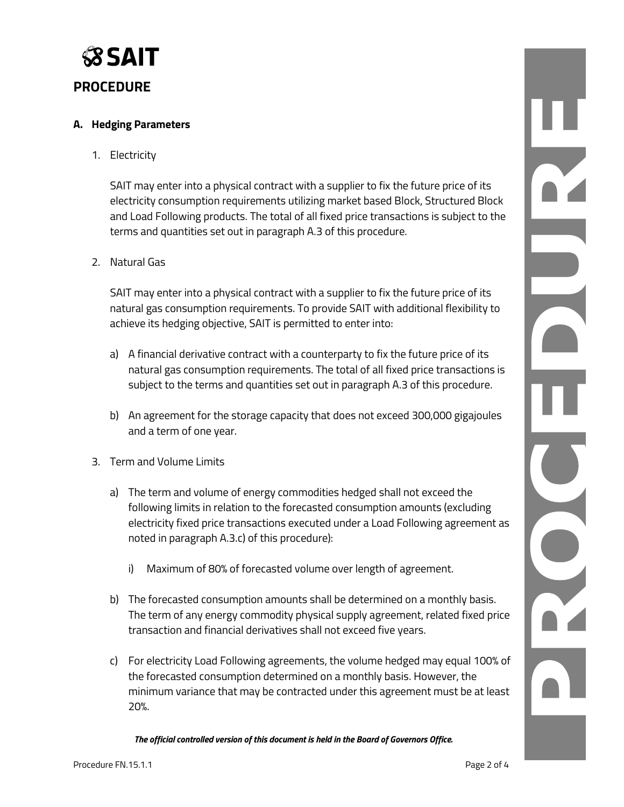

## **PROCEDURE**

#### **A. Hedging Parameters**

1. Electricity

SAIT may enter into a physical contract with a supplier to fix the future price of its electricity consumption requirements utilizing market based Block, Structured Block and Load Following products. The total of all fixed price transactions is subject to the terms and quantities set out in paragraph A.3 of this procedure.

2. Natural Gas

SAIT may enter into a physical contract with a supplier to fix the future price of its natural gas consumption requirements. To provide SAIT with additional flexibility to achieve its hedging objective, SAIT is permitted to enter into:

- a) A financial derivative contract with a counterparty to fix the future price of its natural gas consumption requirements. The total of all fixed price transactions is subject to the terms and quantities set out in paragraph A.3 of this procedure.
- b) An agreement for the storage capacity that does not exceed 300,000 gigajoules and a term of one year.
- 3. Term and Volume Limits
	- a) The term and volume of energy commodities hedged shall not exceed the following limits in relation to the forecasted consumption amounts (excluding electricity fixed price transactions executed under a Load Following agreement as noted in paragraph A.3.c) of this procedure):
		- i) Maximum of 80% of forecasted volume over length of agreement.
	- b) The forecasted consumption amounts shall be determined on a monthly basis. The term of any energy commodity physical supply agreement, related fixed price transaction and financial derivatives shall not exceed five years.
	- c) For electricity Load Following agreements, the volume hedged may equal 100% of the forecasted consumption determined on a monthly basis. However, the minimum variance that may be contracted under this agreement must be at least 20%.

*The official controlled version of this document is held in the Board of Governors Office.*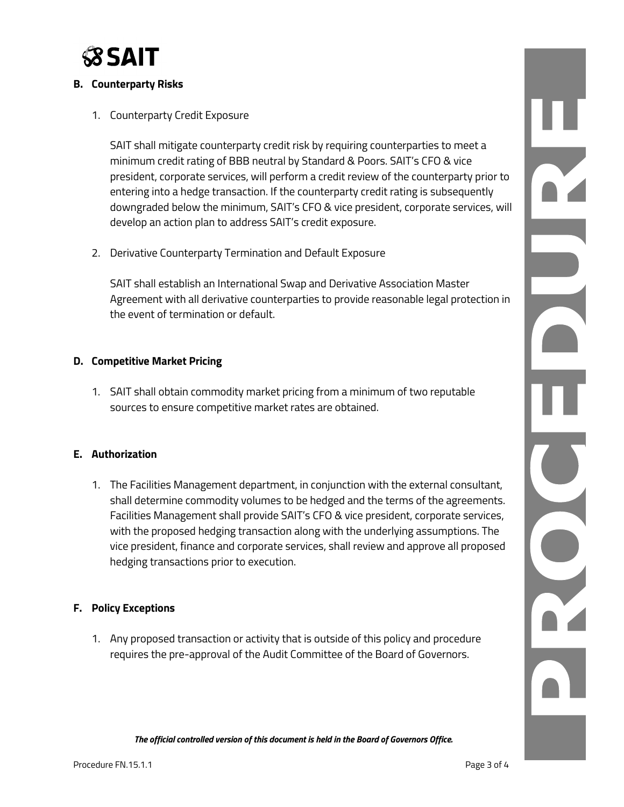

### **B. Counterparty Risks**

1. Counterparty Credit Exposure

SAIT shall mitigate counterparty credit risk by requiring counterparties to meet a minimum credit rating of BBB neutral by Standard & Poors. SAIT's CFO & vice president, corporate services, will perform a credit review of the counterparty prior to entering into a hedge transaction. If the counterparty credit rating is subsequently downgraded below the minimum, SAIT's CFO & vice president, corporate services, will develop an action plan to address SAIT's credit exposure.

2. Derivative Counterparty Termination and Default Exposure

SAIT shall establish an International Swap and Derivative Association Master Agreement with all derivative counterparties to provide reasonable legal protection in the event of termination or default.

#### **D. Competitive Market Pricing**

1. SAIT shall obtain commodity market pricing from a minimum of two reputable sources to ensure competitive market rates are obtained.

### **E. Authorization**

1. The Facilities Management department, in conjunction with the external consultant, shall determine commodity volumes to be hedged and the terms of the agreements. Facilities Management shall provide SAIT's CFO & vice president, corporate services, with the proposed hedging transaction along with the underlying assumptions. The vice president, finance and corporate services, shall review and approve all proposed hedging transactions prior to execution.

#### **F. Policy Exceptions**

1. Any proposed transaction or activity that is outside of this policy and procedure requires the pre-approval of the Audit Committee of the Board of Governors.

*The official controlled version of this document is held in the Board of Governors Office.*